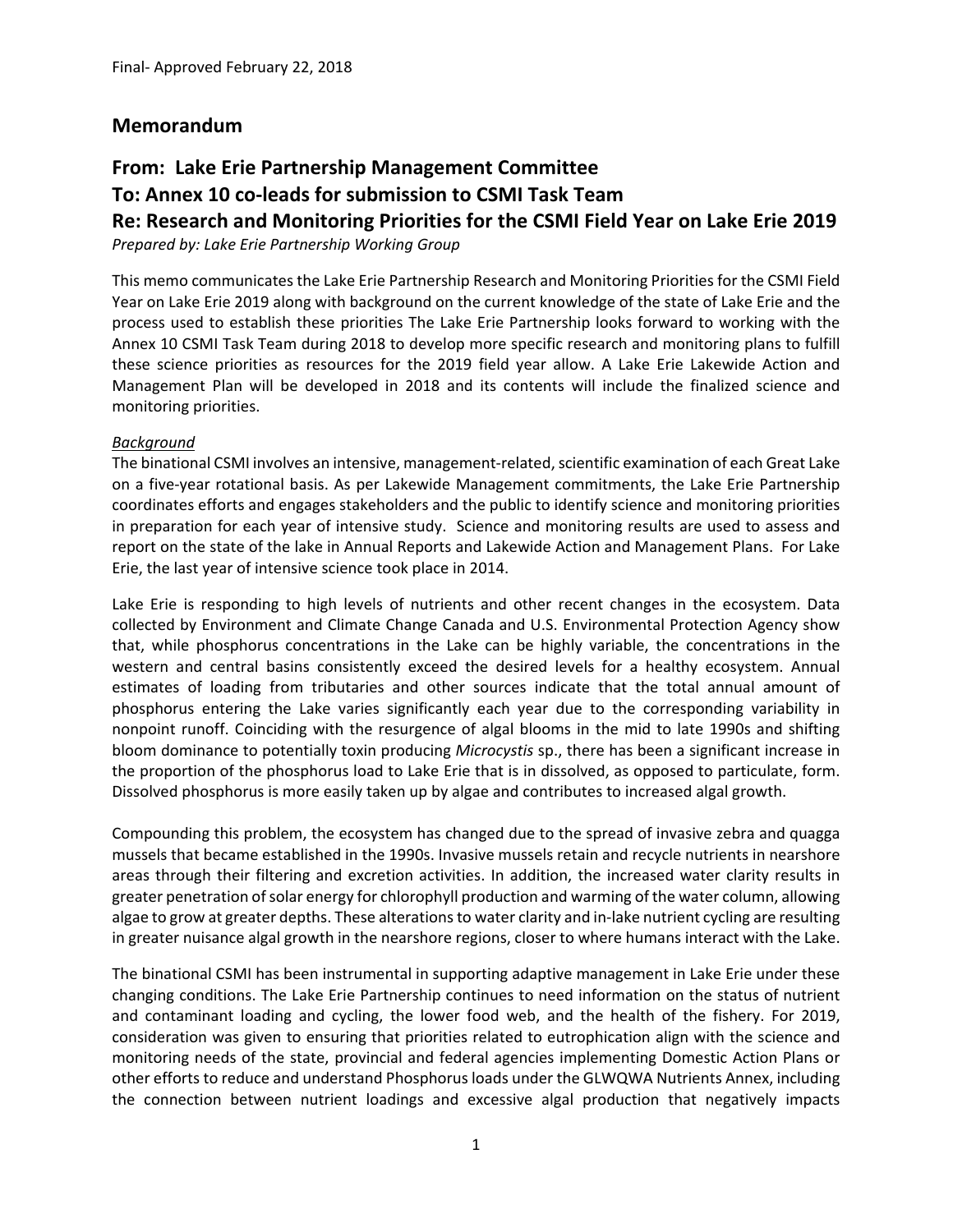# **Memorandum**

# **From: Lake Erie Partnership Management Committee To: Annex 10 co‐leads for submission to CSMI Task Team Re: Research and Monitoring Priorities for the CSMI Field Year on Lake Erie 2019**

*Prepared by: Lake Erie Partnership Working Group*

This memo communicates the Lake Erie Partnership Research and Monitoring Priorities for the CSMI Field Year on Lake Erie 2019 along with background on the current knowledge of the state of Lake Erie and the process used to establish these priorities The Lake Erie Partnership looks forward to working with the Annex 10 CSMI Task Team during 2018 to develop more specific research and monitoring plans to fulfill these science priorities as resources for the 2019 field year allow. A Lake Erie Lakewide Action and Management Plan will be developed in 2018 and its contents will include the finalized science and monitoring priorities.

#### *Background*

The binational CSMI involves an intensive, management‐related,scientific examination of each Great Lake on a five‐year rotational basis. As per Lakewide Management commitments, the Lake Erie Partnership coordinates efforts and engages stakeholders and the public to identify science and monitoring priorities in preparation for each year of intensive study. Science and monitoring results are used to assess and report on the state of the lake in Annual Reports and Lakewide Action and Management Plans. For Lake Erie, the last year of intensive science took place in 2014.

Lake Erie is responding to high levels of nutrients and other recent changes in the ecosystem. Data collected by Environment and Climate Change Canada and U.S. Environmental Protection Agency show that, while phosphorus concentrations in the Lake can be highly variable, the concentrations in the western and central basins consistently exceed the desired levels for a healthy ecosystem. Annual estimates of loading from tributaries and other sources indicate that the total annual amount of phosphorus entering the Lake varies significantly each year due to the corresponding variability in nonpoint runoff. Coinciding with the resurgence of algal blooms in the mid to late 1990s and shifting bloom dominance to potentially toxin producing *Microcystis* sp., there has been a significant increase in the proportion of the phosphorus load to Lake Erie that is in dissolved, as opposed to particulate, form. Dissolved phosphorus is more easily taken up by algae and contributes to increased algal growth.

Compounding this problem, the ecosystem has changed due to the spread of invasive zebra and quagga mussels that became established in the 1990s. Invasive mussels retain and recycle nutrients in nearshore areas through their filtering and excretion activities. In addition, the increased water clarity results in greater penetration ofsolar energy for chlorophyll production and warming of the water column, allowing algae to grow at greater depths. These alterations to water clarity and in-lake nutrient cycling are resulting in greater nuisance algal growth in the nearshore regions, closer to where humans interact with the Lake.

The binational CSMI has been instrumental in supporting adaptive management in Lake Erie under these changing conditions. The Lake Erie Partnership continues to need information on the status of nutrient and contaminant loading and cycling, the lower food web, and the health of the fishery. For 2019, consideration was given to ensuring that priorities related to eutrophication align with the science and monitoring needs of the state, provincial and federal agencies implementing Domestic Action Plans or other efforts to reduce and understand Phosphorus loads under the GLWQWA Nutrients Annex, including the connection between nutrient loadings and excessive algal production that negatively impacts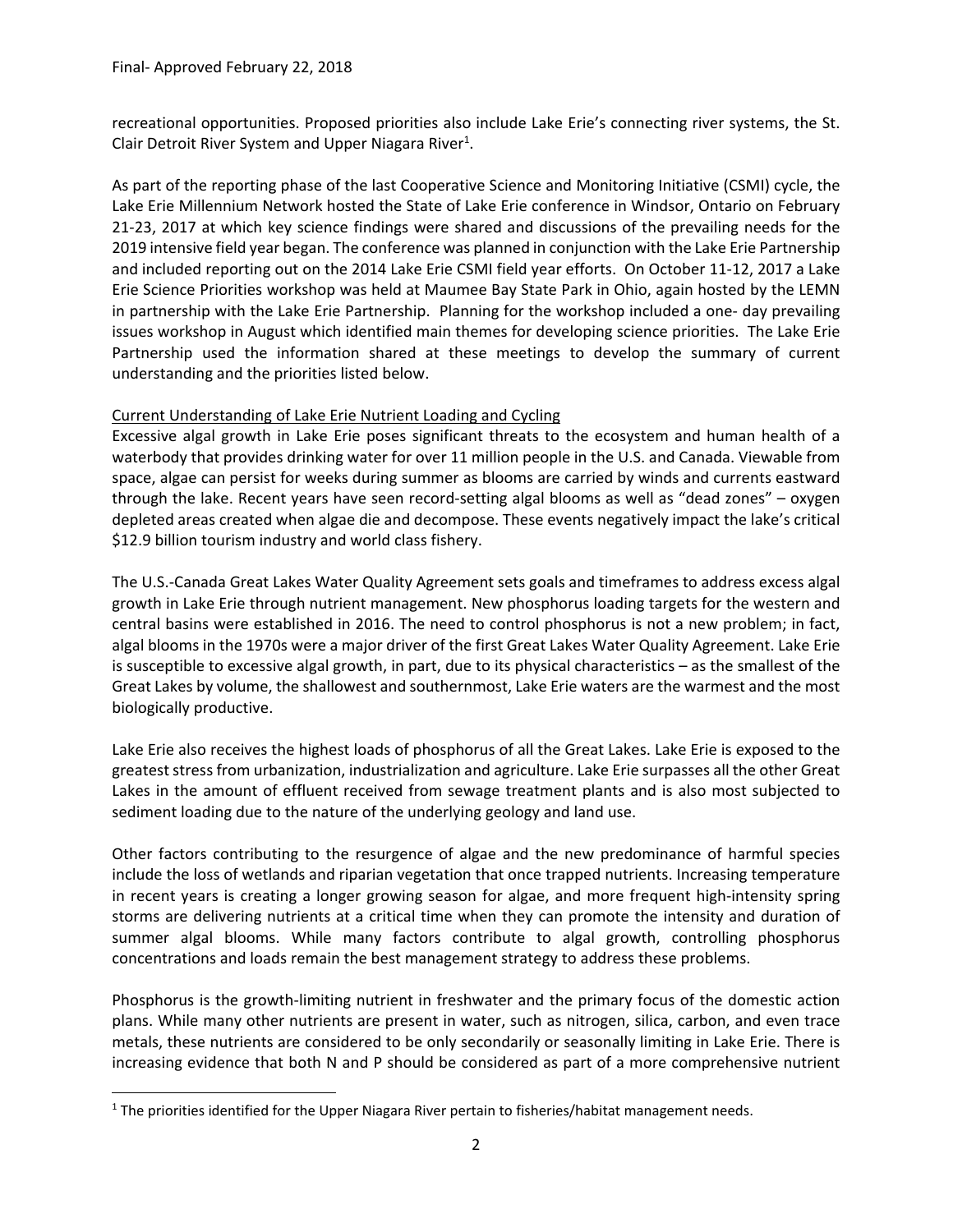recreational opportunities. Proposed priorities also include Lake Erie's connecting river systems, the St. Clair Detroit River System and Upper Niagara River<sup>1</sup>.

As part of the reporting phase of the last Cooperative Science and Monitoring Initiative (CSMI) cycle, the Lake Erie Millennium Network hosted the State of Lake Erie conference in Windsor, Ontario on February 21-23, 2017 at which key science findings were shared and discussions of the prevailing needs for the 2019 intensive field year began. The conference was planned in conjunction with the Lake Erie Partnership and included reporting out on the 2014 Lake Erie CSMI field year efforts. On October 11‐12, 2017 a Lake Erie Science Priorities workshop was held at Maumee Bay State Park in Ohio, again hosted by the LEMN in partnership with the Lake Erie Partnership. Planning for the workshop included a one‐ day prevailing issues workshop in August which identified main themes for developing science priorities. The Lake Erie Partnership used the information shared at these meetings to develop the summary of current understanding and the priorities listed below.

#### Current Understanding of Lake Erie Nutrient Loading and Cycling

Excessive algal growth in Lake Erie poses significant threats to the ecosystem and human health of a waterbody that provides drinking water for over 11 million people in the U.S. and Canada. Viewable from space, algae can persist for weeks during summer as blooms are carried by winds and currents eastward through the lake. Recent years have seen record-setting algal blooms as well as "dead zones" – oxygen depleted areas created when algae die and decompose. These events negatively impact the lake's critical \$12.9 billion tourism industry and world class fishery.

The U.S.‐Canada Great Lakes Water Quality Agreement sets goals and timeframes to address excess algal growth in Lake Erie through nutrient management. New phosphorus loading targets for the western and central basins were established in 2016. The need to control phosphorus is not a new problem; in fact, algal blooms in the 1970s were a major driver of the first Great Lakes Water Quality Agreement. Lake Erie is susceptible to excessive algal growth, in part, due to its physical characteristics – as the smallest of the Great Lakes by volume, the shallowest and southernmost, Lake Erie waters are the warmest and the most biologically productive.

Lake Erie also receives the highest loads of phosphorus of all the Great Lakes. Lake Erie is exposed to the greatest stress from urbanization, industrialization and agriculture. Lake Erie surpasses all the other Great Lakes in the amount of effluent received from sewage treatment plants and is also most subjected to sediment loading due to the nature of the underlying geology and land use.

Other factors contributing to the resurgence of algae and the new predominance of harmful species include the loss of wetlands and riparian vegetation that once trapped nutrients. Increasing temperature in recent years is creating a longer growing season for algae, and more frequent high-intensity spring storms are delivering nutrients at a critical time when they can promote the intensity and duration of summer algal blooms. While many factors contribute to algal growth, controlling phosphorus concentrations and loads remain the best management strategy to address these problems.

Phosphorus is the growth‐limiting nutrient in freshwater and the primary focus of the domestic action plans. While many other nutrients are present in water, such as nitrogen, silica, carbon, and even trace metals, these nutrients are considered to be only secondarily or seasonally limiting in Lake Erie. There is increasing evidence that both N and P should be considered as part of a more comprehensive nutrient

<sup>&</sup>lt;sup>1</sup> The priorities identified for the Upper Niagara River pertain to fisheries/habitat management needs.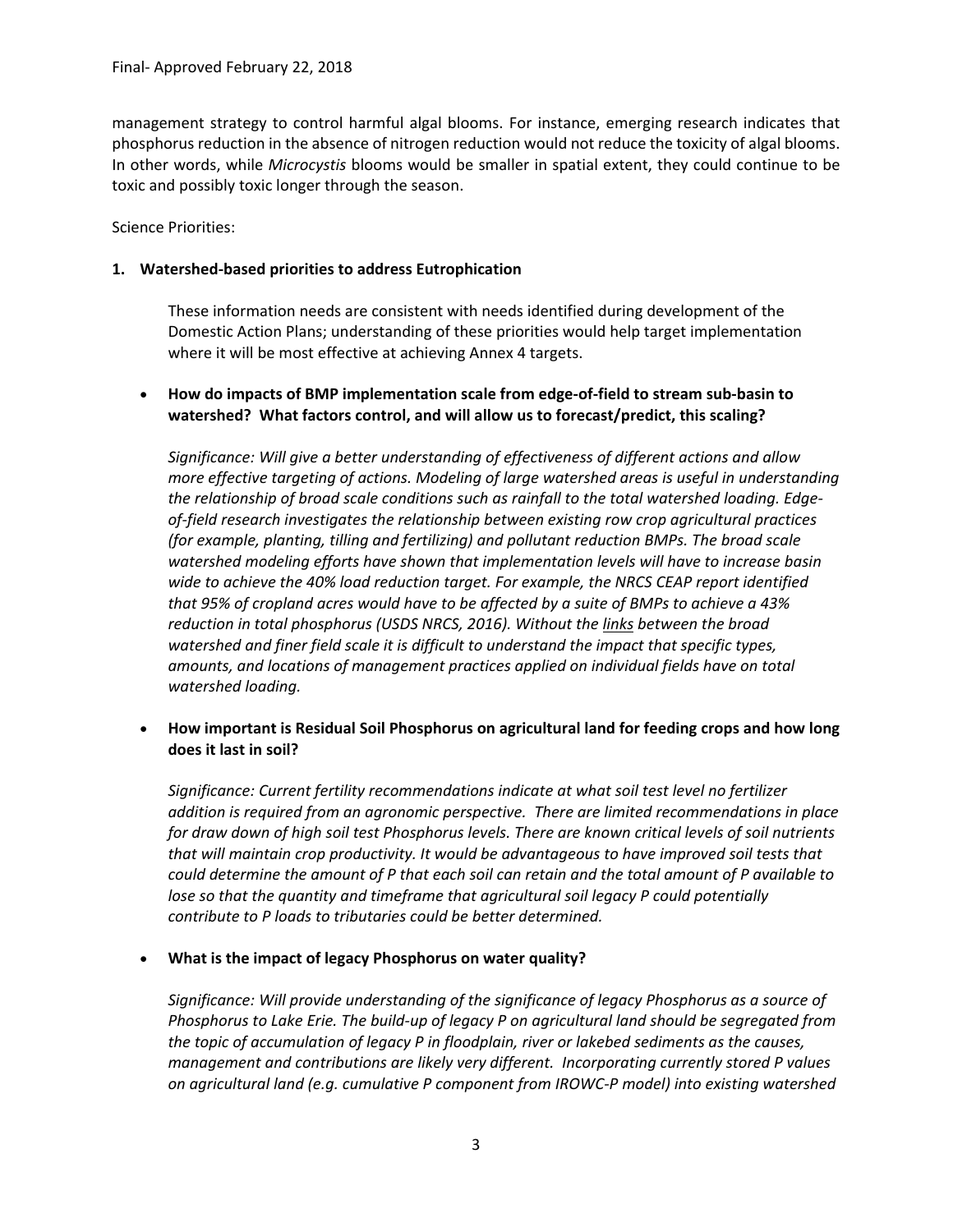management strategy to control harmful algal blooms. For instance, emerging research indicates that phosphorus reduction in the absence of nitrogen reduction would not reduce the toxicity of algal blooms. In other words, while *Microcystis* blooms would be smaller in spatial extent, they could continue to be toxic and possibly toxic longer through the season.

Science Priorities:

#### **1. Watershed‐based priorities to address Eutrophication**

These information needs are consistent with needs identified during development of the Domestic Action Plans; understanding of these priorities would help target implementation where it will be most effective at achieving Annex 4 targets.

 **How do impacts of BMP implementation scale from edge‐of‐field to stream sub‐basin to watershed? What factors control, and will allow us to forecast/predict, this scaling?**

*Significance: Will give a better understanding of effectiveness of different actions and allow more effective targeting of actions. Modeling of large watershed areas is useful in understanding the relationship of broad scale conditions such as rainfall to the total watershed loading. Edge‐ of‐field research investigates the relationship between existing row crop agricultural practices (for example, planting, tilling and fertilizing) and pollutant reduction BMPs. The broad scale watershed modeling efforts have shown that implementation levels will have to increase basin wide to achieve the 40% load reduction target. For example, the NRCS CEAP report identified that 95% of cropland acres would have to be affected by a suite of BMPs to achieve a 43% reduction in total phosphorus (USDS NRCS, 2016). Without the links between the broad watershed and finer field scale it is difficult to understand the impact that specific types, amounts, and locations of management practices applied on individual fields have on total watershed loading.*

 **How important is Residual Soil Phosphorus on agricultural land for feeding crops and how long does it last in soil?** 

*Significance: Current fertility recommendations indicate at what soil test level no fertilizer addition is required from an agronomic perspective. There are limited recommendations in place* for draw down of high soil test Phosphorus levels. There are known critical levels of soil nutrients *that will maintain crop productivity. It would be advantageous to have improved soil tests that* could determine the amount of P that each soil can retain and the total amount of P available to *lose so that the quantity and timeframe that agricultural soil legacy P could potentially contribute to P loads to tributaries could be better determined.*

**What is the impact of legacy Phosphorus on water quality?**

*Significance: Will provide understanding of the significance of legacy Phosphorus as a source of Phosphorus to Lake Erie. The build‐up of legacy P on agricultural land should be segregated from the topic of accumulation of legacy P in floodplain, river or lakebed sediments as the causes, management and contributions are likely very different. Incorporating currently stored P values on agricultural land (e.g. cumulative P component from IROWC‐P model) into existing watershed*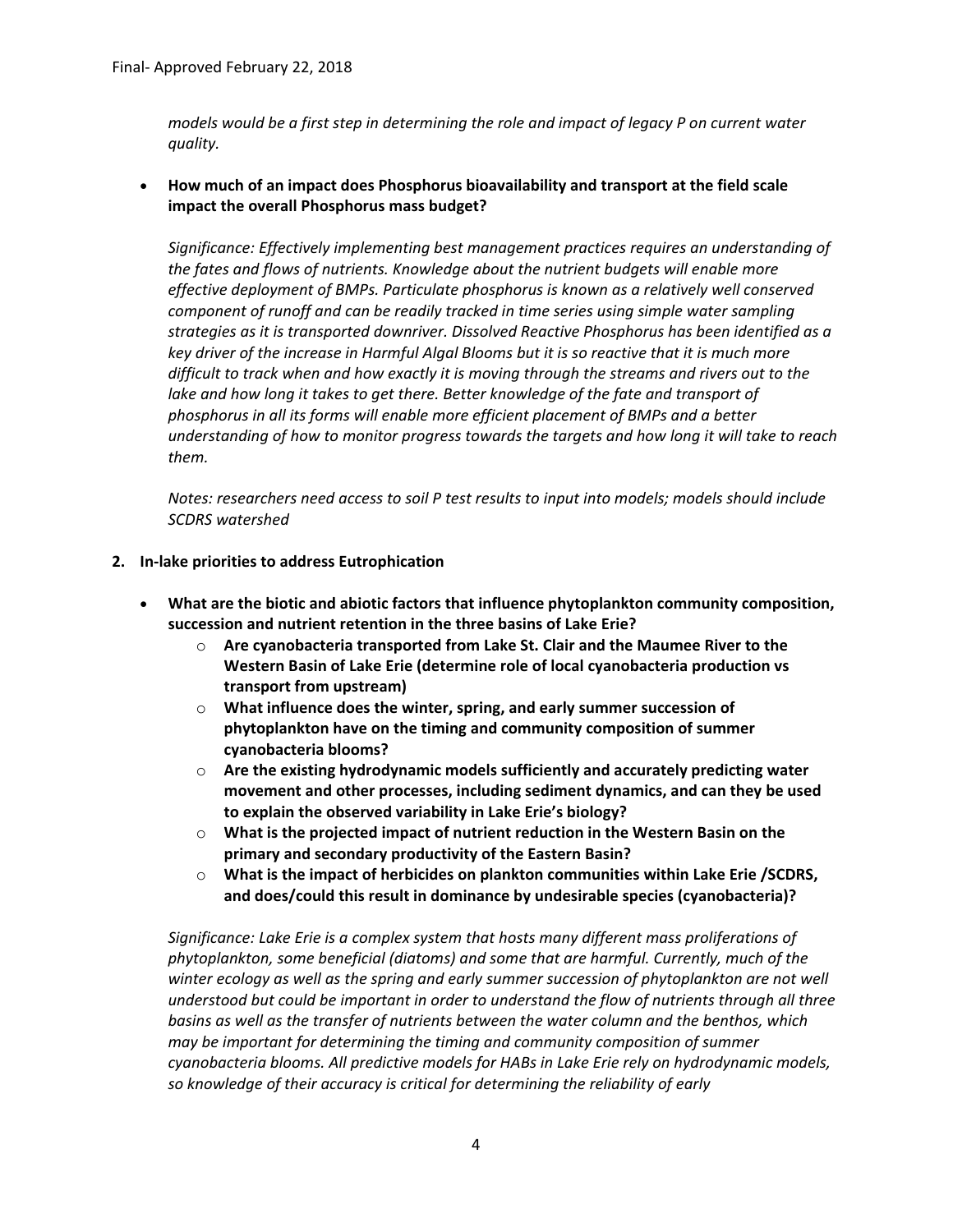*models would be a first step in determining the role and impact of legacy P on current water quality.*

 **How much of an impact does Phosphorus bioavailability and transport at the field scale impact the overall Phosphorus mass budget?**

*Significance: Effectively implementing best management practices requires an understanding of the fates and flows of nutrients. Knowledge about the nutrient budgets will enable more effective deployment of BMPs. Particulate phosphorus is known as a relatively well conserved component of runoff and can be readily tracked in time series using simple water sampling strategies as it is transported downriver. Dissolved Reactive Phosphorus has been identified as a* key driver of the increase in Harmful Algal Blooms but it is so reactive that it is much more *difficult to track when and how exactly it is moving through the streams and rivers out to the lake and how long it takes to get there. Better knowledge of the fate and transport of phosphorus in all its forms will enable more efficient placement of BMPs and a better understanding of how to monitor progress towards the targets and how long it will take to reach them.* 

*Notes: researchers need access to soil P test results to input into models; models should include SCDRS watershed*

#### **2. In‐lake priorities to address Eutrophication**

- **What are the biotic and abiotic factors that influence phytoplankton community composition, succession and nutrient retention in the three basins of Lake Erie?**
	- o **Are cyanobacteria transported from Lake St. Clair and the Maumee River to the Western Basin of Lake Erie (determine role of local cyanobacteria production vs transport from upstream)**
	- o **What influence does the winter, spring, and early summer succession of phytoplankton have on the timing and community composition of summer cyanobacteria blooms?**
	- o **Are the existing hydrodynamic models sufficiently and accurately predicting water movement and other processes, including sediment dynamics, and can they be used to explain the observed variability in Lake Erie's biology?**
	- o **What is the projected impact of nutrient reduction in the Western Basin on the primary and secondary productivity of the Eastern Basin?**
	- o **What is the impact of herbicides on plankton communities within Lake Erie /SCDRS, and does/could this result in dominance by undesirable species (cyanobacteria)?**

*Significance: Lake Erie is a complex system that hosts many different mass proliferations of phytoplankton, some beneficial (diatoms) and some that are harmful. Currently, much of the winter ecology as well as the spring and early summer succession of phytoplankton are not well understood but could be important in order to understand the flow of nutrients through all three basins as well as the transfer of nutrients between the water column and the benthos, which may be important for determining the timing and community composition of summer cyanobacteria blooms. All predictive models for HABs in Lake Erie rely on hydrodynamic models, so knowledge of their accuracy is critical for determining the reliability of early*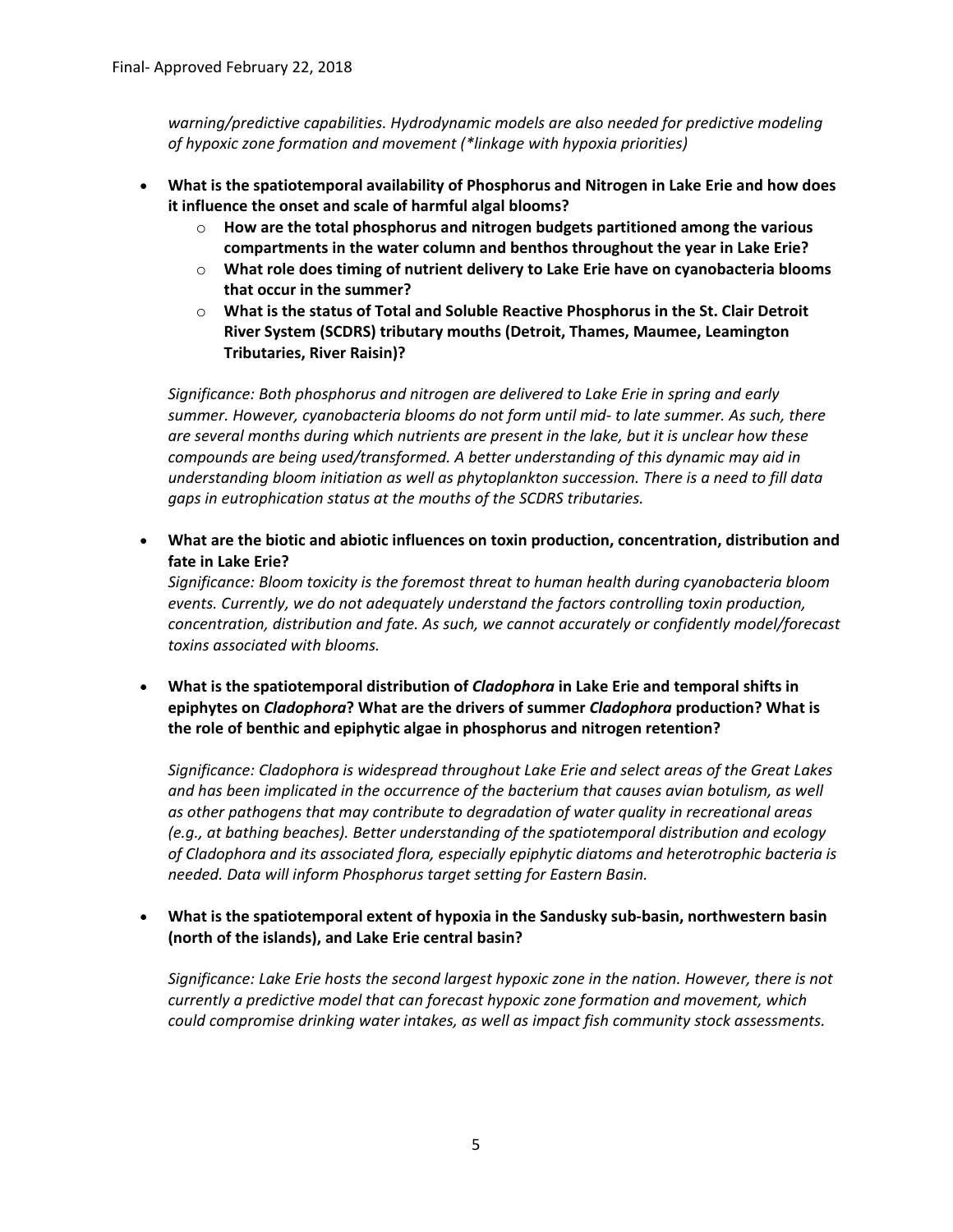*warning/predictive capabilities. Hydrodynamic models are also needed for predictive modeling of hypoxic zone formation and movement (\*linkage with hypoxia priorities)*

- **What is the spatiotemporal availability of Phosphorus and Nitrogen in Lake Erie and how does it influence the onset and scale of harmful algal blooms?**
	- o **How are the total phosphorus and nitrogen budgets partitioned among the various compartments in the water column and benthos throughout the year in Lake Erie?**
	- o **What role does timing of nutrient delivery to Lake Erie have on cyanobacteria blooms that occur in the summer?**
	- o **What is the status of Total and Soluble Reactive Phosphorus in the St. Clair Detroit River System (SCDRS) tributary mouths (Detroit, Thames, Maumee, Leamington Tributaries, River Raisin)?**

*Significance: Both phosphorus and nitrogen are delivered to Lake Erie in spring and early summer. However, cyanobacteria blooms do not form until mid‐ to late summer. As such, there are several months during which nutrients are present in the lake, but it is unclear how these compounds are being used/transformed. A better understanding of this dynamic may aid in understanding bloom initiation as well as phytoplankton succession. There is a need to fill data gaps in eutrophication status at the mouths of the SCDRS tributaries.*

 **What are the biotic and abiotic influences on toxin production, concentration, distribution and fate in Lake Erie?**

*Significance: Bloom toxicity is the foremost threat to human health during cyanobacteria bloom events. Currently, we do not adequately understand the factors controlling toxin production, concentration, distribution and fate. As such, we cannot accurately or confidently model/forecast toxins associated with blooms.*

 **What is the spatiotemporal distribution of** *Cladophora* **in Lake Erie and temporal shifts in epiphytes on** *Cladophora***? What are the drivers of summer** *Cladophora* **production? What is the role of benthic and epiphytic algae in phosphorus and nitrogen retention?**

*Significance: Cladophora is widespread throughout Lake Erie and select areas of the Great Lakes and has been implicated in the occurrence of the bacterium that causes avian botulism, as well as other pathogens that may contribute to degradation of water quality in recreational areas (e.g., at bathing beaches). Better understanding of the spatiotemporal distribution and ecology of Cladophora and its associated flora, especially epiphytic diatoms and heterotrophic bacteria is needed. Data will inform Phosphorus target setting for Eastern Basin.*

 **What is the spatiotemporal extent of hypoxia in the Sandusky sub‐basin, northwestern basin (north of the islands), and Lake Erie central basin?**

*Significance: Lake Erie hosts the second largest hypoxic zone in the nation. However, there is not currently a predictive model that can forecast hypoxic zone formation and movement, which could compromise drinking water intakes, as well as impact fish community stock assessments.*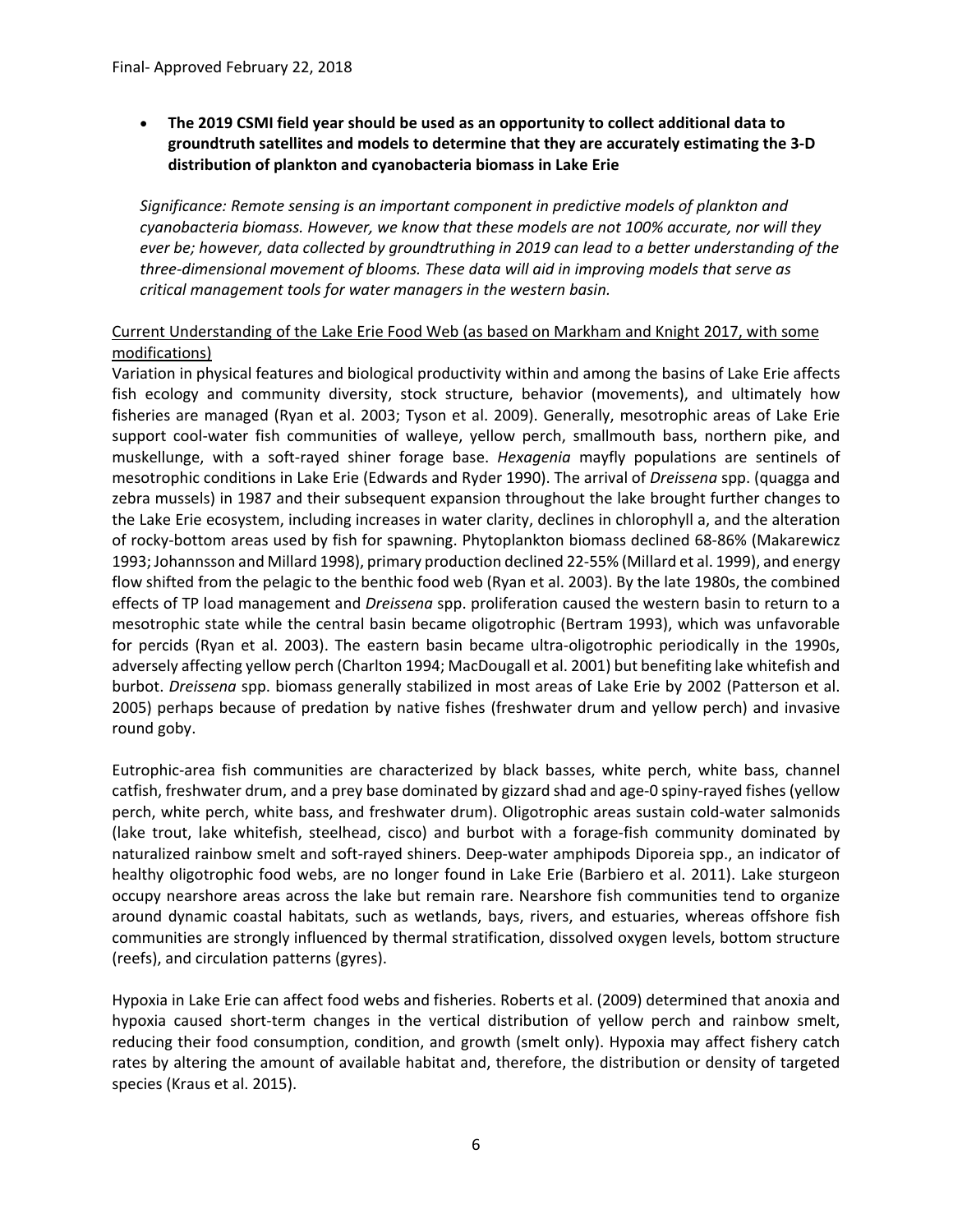**The 2019 CSMI field year should be used as an opportunity to collect additional data to groundtruth satellites and models to determine that they are accurately estimating the 3‐D distribution of plankton and cyanobacteria biomass in Lake Erie**

*Significance: Remote sensing is an important component in predictive models of plankton and cyanobacteria biomass. However, we know that these models are not 100% accurate, nor will they ever be; however, data collected by groundtruthing in 2019 can lead to a better understanding of the three‐dimensional movement of blooms. These data will aid in improving models that serve as critical management tools for water managers in the western basin.* 

#### Current Understanding of the Lake Erie Food Web (as based on Markham and Knight 2017, with some modifications)

Variation in physical features and biological productivity within and among the basins of Lake Erie affects fish ecology and community diversity, stock structure, behavior (movements), and ultimately how fisheries are managed (Ryan et al. 2003; Tyson et al. 2009). Generally, mesotrophic areas of Lake Erie support cool-water fish communities of walleye, yellow perch, smallmouth bass, northern pike, and muskellunge, with a soft‐rayed shiner forage base. *Hexagenia* mayfly populations are sentinels of mesotrophic conditions in Lake Erie (Edwards and Ryder 1990). The arrival of *Dreissena* spp. (quagga and zebra mussels) in 1987 and their subsequent expansion throughout the lake brought further changes to the Lake Erie ecosystem, including increases in water clarity, declines in chlorophyll a, and the alteration of rocky‐bottom areas used by fish for spawning. Phytoplankton biomass declined 68‐86% (Makarewicz 1993; Johannsson and Millard 1998), primary production declined 22‐55% (Millard et al. 1999), and energy flow shifted from the pelagic to the benthic food web (Ryan et al. 2003). By the late 1980s, the combined effects of TP load management and *Dreissena* spp. proliferation caused the western basin to return to a mesotrophic state while the central basin became oligotrophic (Bertram 1993), which was unfavorable for percids (Ryan et al. 2003). The eastern basin became ultra-oligotrophic periodically in the 1990s, adversely affecting yellow perch (Charlton 1994; MacDougall et al. 2001) but benefiting lake whitefish and burbot. *Dreissena* spp. biomass generally stabilized in most areas of Lake Erie by 2002 (Patterson et al. 2005) perhaps because of predation by native fishes (freshwater drum and yellow perch) and invasive round goby.

Eutrophic‐area fish communities are characterized by black basses, white perch, white bass, channel catfish, freshwater drum, and a prey base dominated by gizzard shad and age‐0 spiny‐rayed fishes (yellow perch, white perch, white bass, and freshwater drum). Oligotrophic areas sustain cold‐water salmonids (lake trout, lake whitefish, steelhead, cisco) and burbot with a forage‐fish community dominated by naturalized rainbow smelt and soft-rayed shiners. Deep-water amphipods Diporeia spp., an indicator of healthy oligotrophic food webs, are no longer found in Lake Erie (Barbiero et al. 2011). Lake sturgeon occupy nearshore areas across the lake but remain rare. Nearshore fish communities tend to organize around dynamic coastal habitats, such as wetlands, bays, rivers, and estuaries, whereas offshore fish communities are strongly influenced by thermal stratification, dissolved oxygen levels, bottom structure (reefs), and circulation patterns (gyres).

Hypoxia in Lake Erie can affect food webs and fisheries. Roberts et al. (2009) determined that anoxia and hypoxia caused short‐term changes in the vertical distribution of yellow perch and rainbow smelt, reducing their food consumption, condition, and growth (smelt only). Hypoxia may affect fishery catch rates by altering the amount of available habitat and, therefore, the distribution or density of targeted species (Kraus et al. 2015).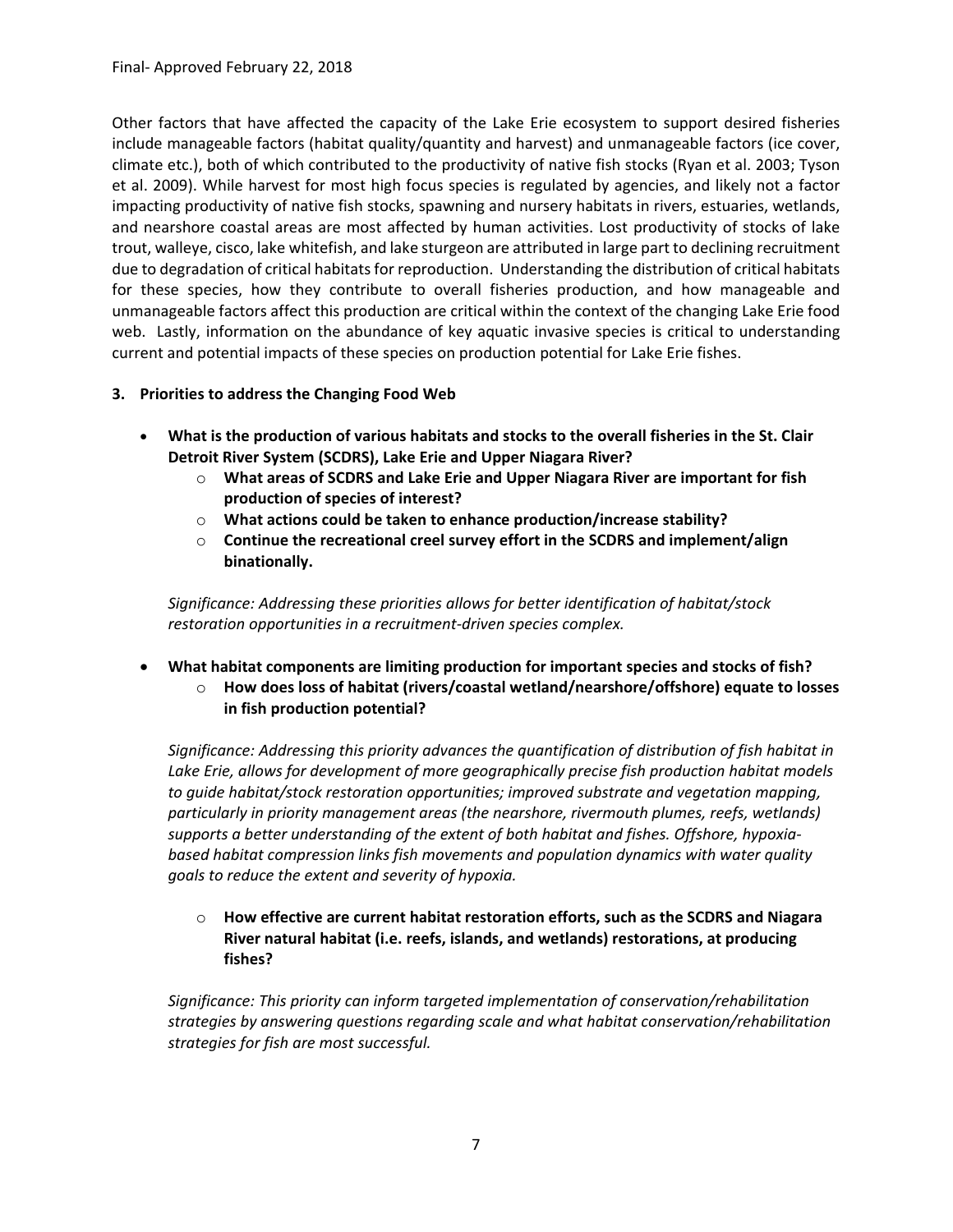Other factors that have affected the capacity of the Lake Erie ecosystem to support desired fisheries include manageable factors (habitat quality/quantity and harvest) and unmanageable factors (ice cover, climate etc.), both of which contributed to the productivity of native fish stocks (Ryan et al. 2003; Tyson et al. 2009). While harvest for most high focus species is regulated by agencies, and likely not a factor impacting productivity of native fish stocks, spawning and nursery habitats in rivers, estuaries, wetlands, and nearshore coastal areas are most affected by human activities. Lost productivity of stocks of lake trout, walleye, cisco, lake whitefish, and lake sturgeon are attributed in large part to declining recruitment due to degradation of critical habitats for reproduction. Understanding the distribution of critical habitats for these species, how they contribute to overall fisheries production, and how manageable and unmanageable factors affect this production are critical within the context of the changing Lake Erie food web. Lastly, information on the abundance of key aquatic invasive species is critical to understanding current and potential impacts of these species on production potential for Lake Erie fishes.

#### **3. Priorities to address the Changing Food Web**

- **What is the production of various habitats and stocks to the overall fisheries in the St. Clair Detroit River System (SCDRS), Lake Erie and Upper Niagara River?**
	- o **What areas of SCDRS and Lake Erie and Upper Niagara River are important for fish production of species of interest?**
	- o **What actions could be taken to enhance production/increase stability?**
	- o **Continue the recreational creel survey effort in the SCDRS and implement/align binationally.**

*Significance: Addressing these priorities allows for better identification of habitat/stock restoration opportunities in a recruitment‐driven species complex.*

# **What habitat components are limiting production for important species and stocks of fish?**

o **How does loss of habitat (rivers/coastal wetland/nearshore/offshore) equate to losses in fish production potential?**

*Significance: Addressing this priority advances the quantification of distribution of fish habitat in Lake Erie, allows for development of more geographically precise fish production habitat models to guide habitat/stock restoration opportunities; improved substrate and vegetation mapping, particularly in priority management areas (the nearshore, rivermouth plumes, reefs, wetlands) supports a better understanding of the extent of both habitat and fishes. Offshore, hypoxia‐ based habitat compression links fish movements and population dynamics with water quality goals to reduce the extent and severity of hypoxia.*

o **How effective are current habitat restoration efforts, such as the SCDRS and Niagara River natural habitat (i.e. reefs, islands, and wetlands) restorations, at producing fishes?**

*Significance: This priority can inform targeted implementation of conservation/rehabilitation strategies by answering questions regarding scale and what habitat conservation/rehabilitation strategies for fish are most successful.*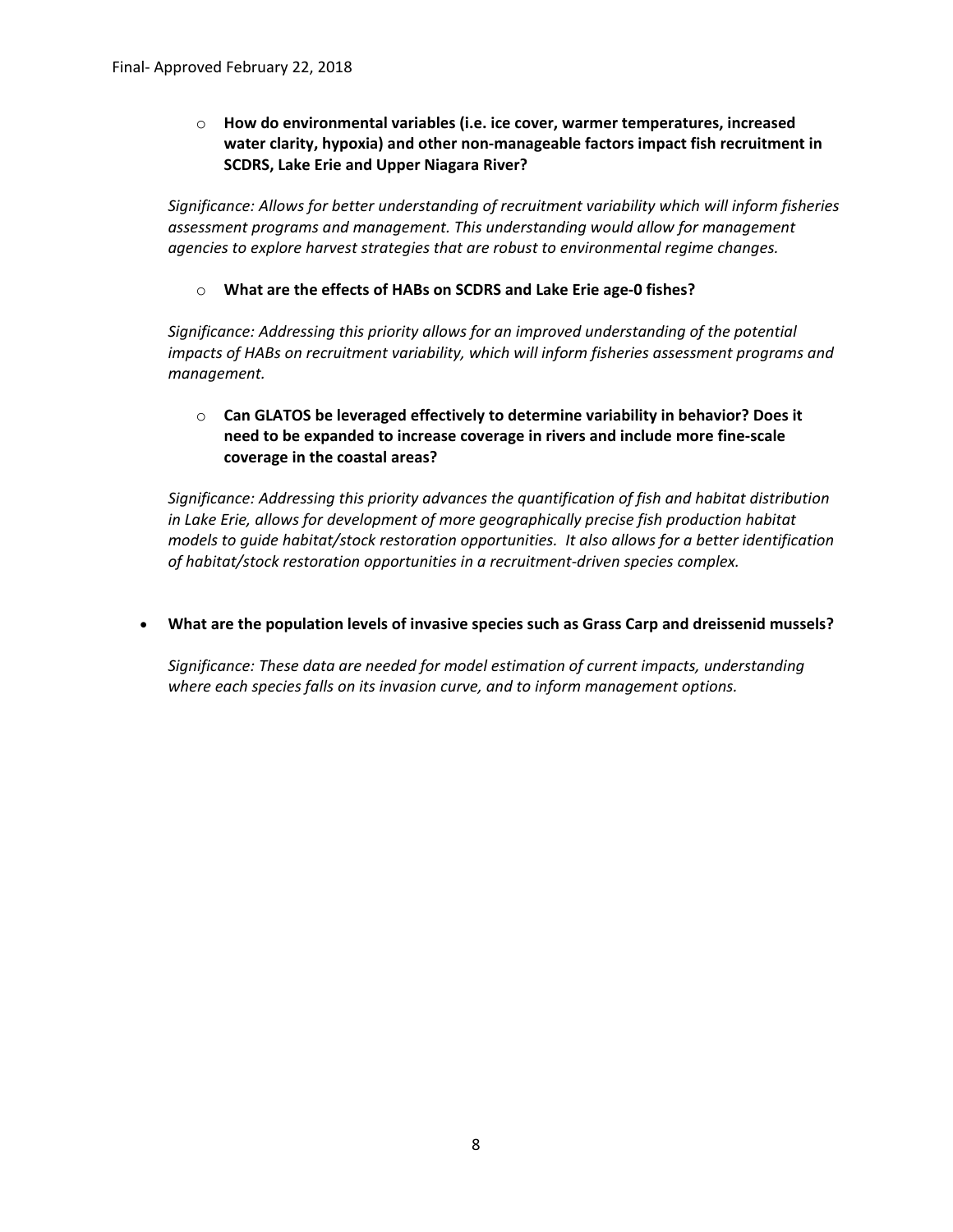o **How do environmental variables (i.e. ice cover, warmer temperatures, increased water clarity, hypoxia) and other non‐manageable factors impact fish recruitment in SCDRS, Lake Erie and Upper Niagara River?**

*Significance: Allows for better understanding of recruitment variability which will inform fisheries assessment programs and management. This understanding would allow for management agencies to explore harvest strategies that are robust to environmental regime changes.*

o **What are the effects of HABs on SCDRS and Lake Erie age‐0 fishes?**

*Significance: Addressing this priority allows for an improved understanding of the potential impacts of HABs on recruitment variability, which will inform fisheries assessment programs and management.*

# o **Can GLATOS be leveraged effectively to determine variability in behavior? Does it need to be expanded to increase coverage in rivers and include more fine‐scale coverage in the coastal areas?**

*Significance: Addressing this priority advances the quantification of fish and habitat distribution in Lake Erie, allows for development of more geographically precise fish production habitat models to guide habitat/stock restoration opportunities. It also allows for a better identification of habitat/stock restoration opportunities in a recruitment‐driven species complex.*

**What are the population levels of invasive species such as Grass Carp and dreissenid mussels?**

*Significance: These data are needed for model estimation of current impacts, understanding where each species falls on its invasion curve, and to inform management options.*